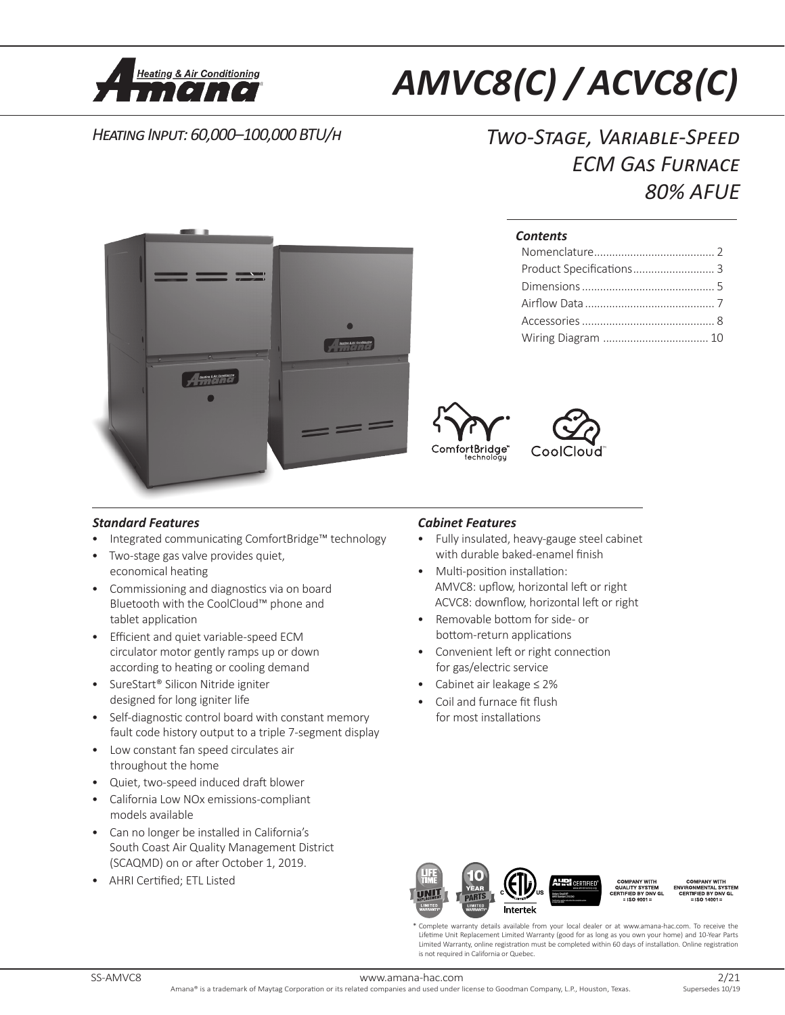

# *AMVC8 (C) / ACVC8 (C)*

## *Heating Input: 60,000–100,000 BTU/h Two-Stage, Variable-Speed ECM Gas Furnace 80% AFUE*



## *Contents*





## *Standard Features*

- Integrated communicating ComfortBridge™ technology
- Two-stage gas valve provides quiet, economical heating
- Commissioning and diagnostics via on board Bluetooth with the CoolCloud™ phone and tablet application
- Efficient and quiet variable-speed ECM circulator motor gently ramps up or down according to heating or cooling demand
- SureStart® Silicon Nitride igniter designed for long igniter life
- Self-diagnostic control board with constant memory fault code history output to a triple 7-segment display
- Low constant fan speed circulates air throughout the home
- Quiet, two-speed induced draft blower
- California Low NOx emissions-compliant models available
- Can no longer be installed in California's South Coast Air Quality Management District (SCAQMD) on or after October 1, 2019.
- AHRI Certified; ETL Listed

## *Cabinet Features*

- Fully insulated, heavy-gauge steel cabinet with durable baked-enamel finish
- Multi-position installation: AMVC8: upflow, horizontal left or right ACVC8: downflow, horizontal left or right
- Removable bottom for side- or bottom-return applications
- Convenient left or right connection for gas/electric service
- Cabinet air leakage ≤ 2%
- Coil and furnace fit flush for most installations



\* Complete warranty details available from your local dealer or at www.amana-hac.com. To receive the Lifetime Unit Replacement Limited Warranty (good for as long as you own your home) and 10-Year Parts Limited Warranty, online registration must be completed within 60 days of installation. Online registration is not required in California or Quebec.

www.amana-hac.com<br>Amana® is a trademark of Mavtag Corporation or its related companies and used under license to Goodman Company, L.P., Houston, Texas, Supersedes 10/19 Amana® is a trademark of Maytag Corporation or its related companies and used under license to Goodman Company, L.P., Houston, Texas.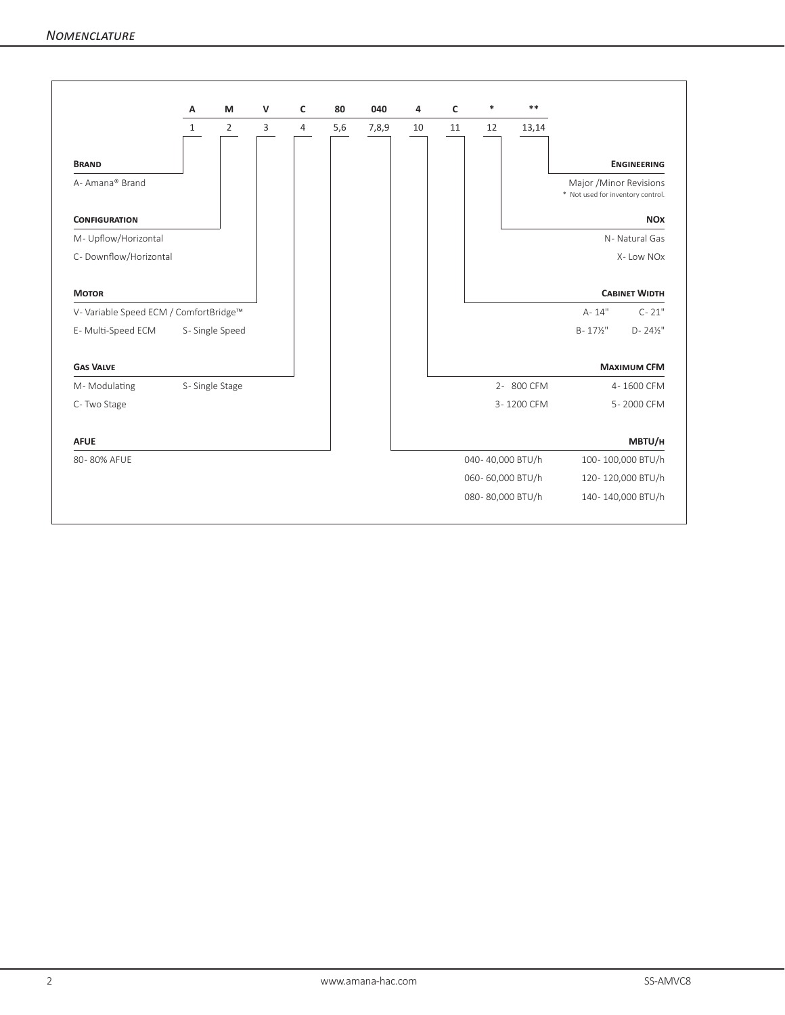|                                        | А              | M              | $\mathsf{V}$ | c              | 80  | 040   | 4  | $\mathsf{C}$ | *                | $**$       |                                                              |
|----------------------------------------|----------------|----------------|--------------|----------------|-----|-------|----|--------------|------------------|------------|--------------------------------------------------------------|
|                                        | $\mathbf{1}$   | $\overline{2}$ | 3            | $\overline{4}$ | 5,6 | 7,8,9 | 10 | 11           | 12               | 13,14      |                                                              |
| <b>BRAND</b>                           |                |                |              |                |     |       |    |              |                  |            | <b>ENGINEERING</b>                                           |
| A- Amana® Brand                        |                |                |              |                |     |       |    |              |                  |            | Major / Minor Revisions<br>* Not used for inventory control. |
| <b>CONFIGURATION</b>                   |                |                |              |                |     |       |    |              |                  |            | <b>NOX</b>                                                   |
| M- Upflow/Horizontal                   |                |                |              |                |     |       |    |              |                  |            | N-Natural Gas                                                |
| C- Downflow/Horizontal                 |                |                |              |                |     |       |    |              |                  |            | X-Low NOx                                                    |
| <b>MOTOR</b>                           |                |                |              |                |     |       |    |              |                  |            | <b>CABINET WIDTH</b>                                         |
| V- Variable Speed ECM / ComfortBridge™ |                |                |              |                |     |       |    |              |                  |            | $A - 14"$<br>$C - 21"$                                       |
| E-Multi-Speed ECM                      |                | S-Single Speed |              |                |     |       |    |              |                  |            | $B - 17\frac{1}{2}$<br>$D - 24\frac{1}{2}$ "                 |
| <b>GAS VALVE</b>                       |                |                |              |                |     |       |    |              |                  |            | <b>MAXIMUM CFM</b>                                           |
| M-Modulating                           | S-Single Stage |                |              |                |     |       |    |              |                  | 2-800 CFM  | 4-1600 CFM                                                   |
| C-Two Stage                            |                |                |              |                |     |       |    |              |                  | 3-1200 CFM | 5-2000 CFM                                                   |
| <b>AFUE</b>                            |                |                |              |                |     |       |    |              |                  |            | MBTU/H                                                       |
| 80-80% AFUE                            |                |                |              |                |     |       |    |              | 040-40,000 BTU/h |            | 100-100,000 BTU/h                                            |
|                                        |                |                |              |                |     |       |    |              | 060-60,000 BTU/h |            | 120-120,000 BTU/h                                            |
|                                        |                |                |              |                |     |       |    |              | 080-80,000 BTU/h |            | 140-140,000 BTU/h                                            |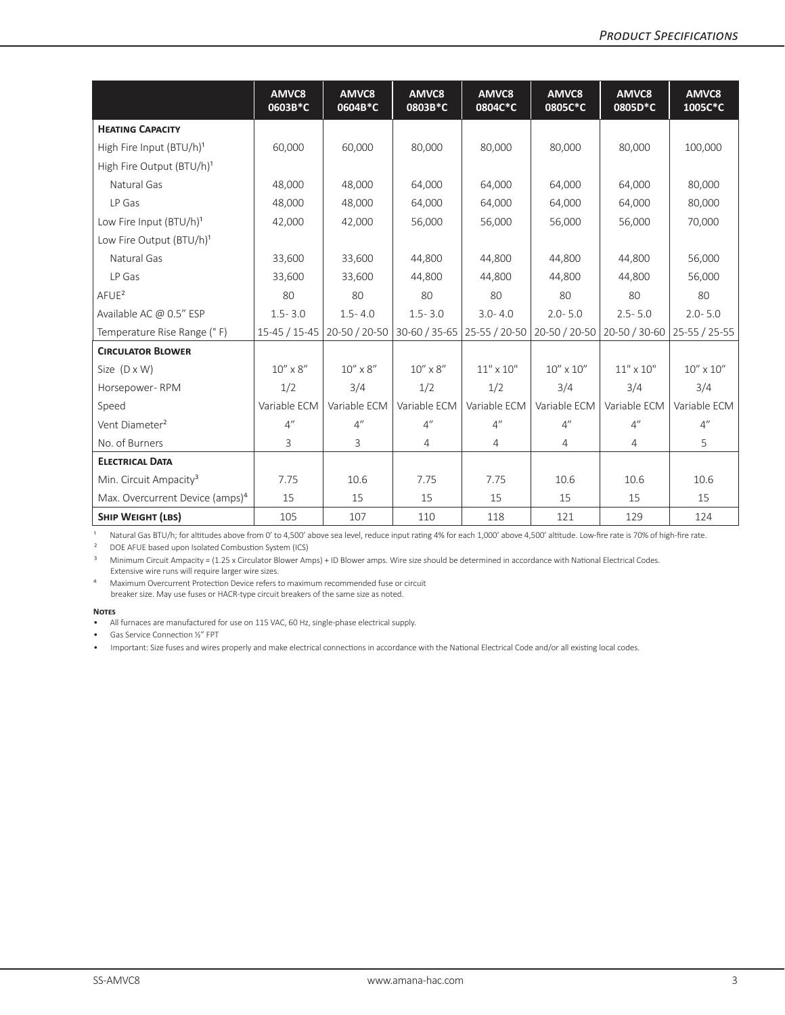|                                             | AMVC8<br>0603B*C              | AMVC8<br>0604B*C  | AMVC <sub>8</sub><br>0803B*C  | AMVC8<br>0804C*C | AMVC8<br>0805C*C   | AMVC8<br>0805D*C | AMVC8<br>1005C*C   |
|---------------------------------------------|-------------------------------|-------------------|-------------------------------|------------------|--------------------|------------------|--------------------|
| <b>HEATING CAPACITY</b>                     |                               |                   |                               |                  |                    |                  |                    |
| High Fire Input (BTU/h) <sup>1</sup>        | 60,000                        | 60,000            | 80,000                        | 80,000           | 80,000             | 80,000           | 100,000            |
| High Fire Output (BTU/h) <sup>1</sup>       |                               |                   |                               |                  |                    |                  |                    |
| Natural Gas                                 | 48,000                        | 48,000            | 64,000                        | 64,000           | 64,000             | 64,000           | 80,000             |
| LP Gas                                      | 48,000                        | 48.000            | 64,000                        | 64.000           | 64.000             | 64.000           | 80,000             |
| Low Fire Input (BTU/h) <sup>1</sup>         | 42,000                        | 42,000            | 56,000                        | 56,000           | 56,000             | 56,000           | 70,000             |
| Low Fire Output (BTU/h) <sup>1</sup>        |                               |                   |                               |                  |                    |                  |                    |
| Natural Gas                                 | 33,600                        | 33,600            | 44,800                        | 44,800           | 44,800             | 44,800           | 56,000             |
| LP Gas                                      | 33,600                        | 33,600            | 44,800                        | 44,800           | 44,800             | 44,800           | 56,000             |
| $A$ FUE <sup>2</sup>                        | 80                            | 80                | 80                            | 80               | 80                 | 80               | 80                 |
| Available AC @ 0.5" ESP                     | $1.5 - 3.0$                   | $1.5 - 4.0$       | $1.5 - 3.0$                   | $3.0 - 4.0$      | $2.0 - 5.0$        | $2.5 - 5.0$      | $2.0 - 5.0$        |
| Temperature Rise Range (°F)                 | 15-45 / 15-45   20-50 / 20-50 |                   | 30-60 / 35-65   25-55 / 20-50 |                  | 20-50 / 20-50      | 20-50 / 30-60    | 25-55 / 25-55      |
| <b>CIRCULATOR BLOWER</b>                    |                               |                   |                               |                  |                    |                  |                    |
| Size $(D \times W)$                         | $10'' \times 8''$             | $10'' \times 8''$ | $10'' \times 8''$             | $11" \times 10"$ | $10'' \times 10''$ | $11" \times 10"$ | $10'' \times 10''$ |
| Horsepower-RPM                              | 1/2                           | 3/4               | 1/2                           | 1/2              | 3/4                | 3/4              | 3/4                |
| Speed                                       | Variable ECM                  | Variable ECM      | Variable ECM                  | Variable ECM     | Variable ECM       | Variable ECM     | Variable ECM       |
| Vent Diameter <sup>2</sup>                  | 4"                            | 4"                | 4"                            | 4"               | 4"                 | 4"               | 4"                 |
| No. of Burners                              | 3                             | 3                 | 4                             | 4                | 4                  | 4                | 5                  |
| <b>ELECTRICAL DATA</b>                      |                               |                   |                               |                  |                    |                  |                    |
| Min. Circuit Ampacity <sup>3</sup>          | 7.75                          | 10.6              | 7.75                          | 7.75             | 10.6               | 10.6             | 10.6               |
| Max. Overcurrent Device (amps) <sup>4</sup> | 15                            | 15                | 15                            | 15               | 15                 | 15               | 15                 |
| <b>SHIP WEIGHT (LBS)</b>                    | 105                           | 107               | 110                           | 118              | 121                | 129              | 124                |

1 Natural Gas BTU/h; for altitudes above from 0' to 4,500' above sea level, reduce input rating 4% for each 1,000' above 4,500' altitude. Low-fire rate is 70% of high-fire rate.

² DOE AFUE based upon Isolated Combustion System (ICS)

<sup>3</sup> Minimum Circuit Ampacity = (1.25 x Circulator Blower Amps) + ID Blower amps. Wire size should be determined in accordance with National Electrical Codes. Extensive wire runs will require larger wire sizes.

⁴ Maximum Overcurrent Protection Device refers to maximum recommended fuse or circuit breaker size. May use fuses or HACR-type circuit breakers of the same size as noted.

#### **Notes**

• Gas Service Connection ½" FPT

• Important: Size fuses and wires properly and make electrical connections in accordance with the National Electrical Code and/or all existing local codes.

<sup>•</sup> All furnaces are manufactured for use on 115 VAC, 60 Hz, single-phase electrical supply.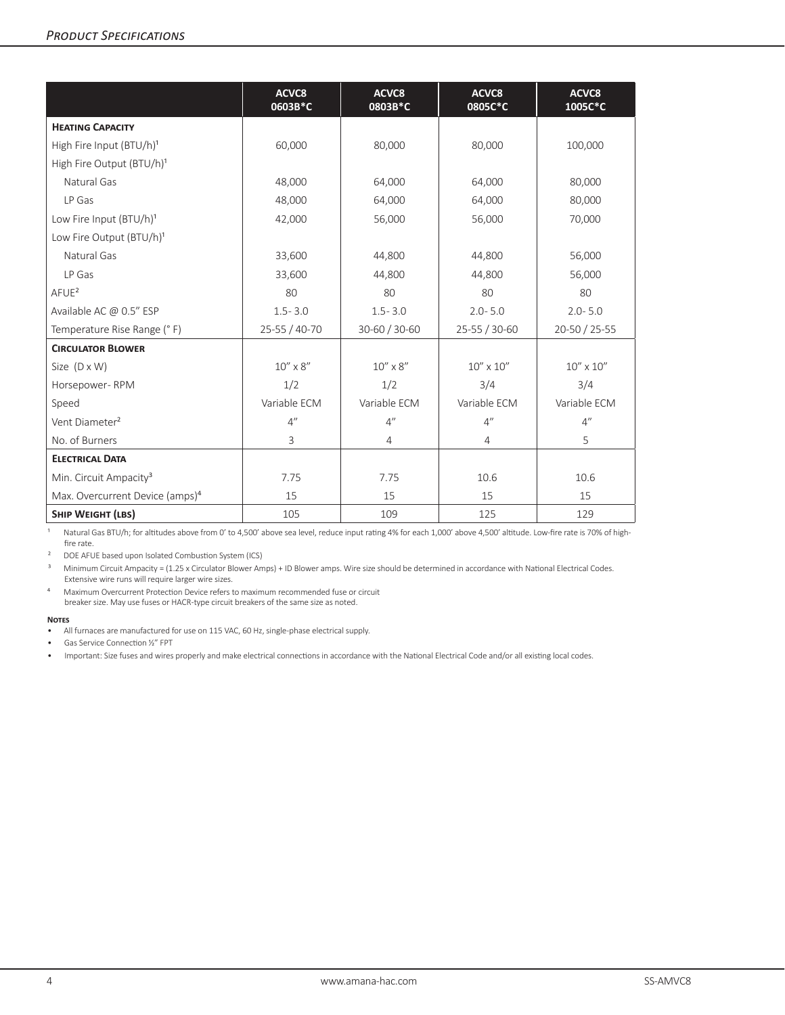|                                             | ACVC8<br>0603B*C  | ACVC8<br>0803B*C  | ACVC8<br>0805C*C   | ACVC8<br>1005C*C   |
|---------------------------------------------|-------------------|-------------------|--------------------|--------------------|
| <b>HEATING CAPACITY</b>                     |                   |                   |                    |                    |
| High Fire Input (BTU/h) <sup>1</sup>        | 60,000            | 80,000            | 80,000             | 100,000            |
| High Fire Output (BTU/h) <sup>1</sup>       |                   |                   |                    |                    |
| Natural Gas                                 | 48,000            | 64,000            | 64,000             | 80,000             |
| LP Gas                                      | 48,000            | 64,000            | 64,000             | 80,000             |
| Low Fire Input (BTU/h) <sup>1</sup>         | 42,000            | 56,000            | 56,000             | 70,000             |
| Low Fire Output (BTU/h) <sup>1</sup>        |                   |                   |                    |                    |
| Natural Gas                                 | 33,600            | 44,800            | 44,800             | 56,000             |
| LP Gas                                      | 33,600            | 44,800            | 44,800             | 56,000             |
| AFUE <sup>2</sup>                           | 80                | 80                | 80                 | 80                 |
| Available AC @ 0.5" ESP                     | $1.5 - 3.0$       | $1.5 - 3.0$       | $2.0 - 5.0$        | $2.0 - 5.0$        |
| Temperature Rise Range (°F)                 | 25-55 / 40-70     | 30-60 / 30-60     | 25-55 / 30-60      | 20-50 / 25-55      |
| <b>CIRCULATOR BLOWER</b>                    |                   |                   |                    |                    |
| Size $(D \times W)$                         | $10'' \times 8''$ | $10'' \times 8''$ | $10'' \times 10''$ | $10'' \times 10''$ |
| Horsepower-RPM                              | 1/2               | 1/2               | 3/4                | 3/4                |
| Speed                                       | Variable ECM      | Variable ECM      | Variable ECM       | Variable ECM       |
| Vent Diameter <sup>2</sup>                  | 4"                | 4"                | 4"                 | 4"                 |
| No. of Burners                              | 3                 | $\overline{4}$    | 4                  | 5                  |
| <b>ELECTRICAL DATA</b>                      |                   |                   |                    |                    |
| Min. Circuit Ampacity <sup>3</sup>          | 7.75              | 7.75              | 10.6               | 10.6               |
| Max. Overcurrent Device (amps) <sup>4</sup> | 15                | 15                | 15                 | 15                 |
| <b>SHIP WEIGHT (LBS)</b>                    | 105               | 109               | 125                | 129                |

1 Natural Gas BTU/h; for altitudes above from 0' to 4,500' above sea level, reduce input rating 4% for each 1,000' above 4,500' altitude. Low-fire rate is 70% of highfire rate.

² DOE AFUE based upon Isolated Combustion System (ICS)

<sup>3</sup> Minimum Circuit Ampacity = (1.25 x Circulator Blower Amps) + ID Blower amps. Wire size should be determined in accordance with National Electrical Codes. Extensive wire runs will require larger wire sizes.

⁴ Maximum Overcurrent Protection Device refers to maximum recommended fuse or circuit breaker size. May use fuses or HACR-type circuit breakers of the same size as noted.

#### **Notes**

• All furnaces are manufactured for use on 115 VAC, 60 Hz, single-phase electrical supply.

• Gas Service Connection ½" FPT

• Important: Size fuses and wires properly and make electrical connections in accordance with the National Electrical Code and/or all existing local codes.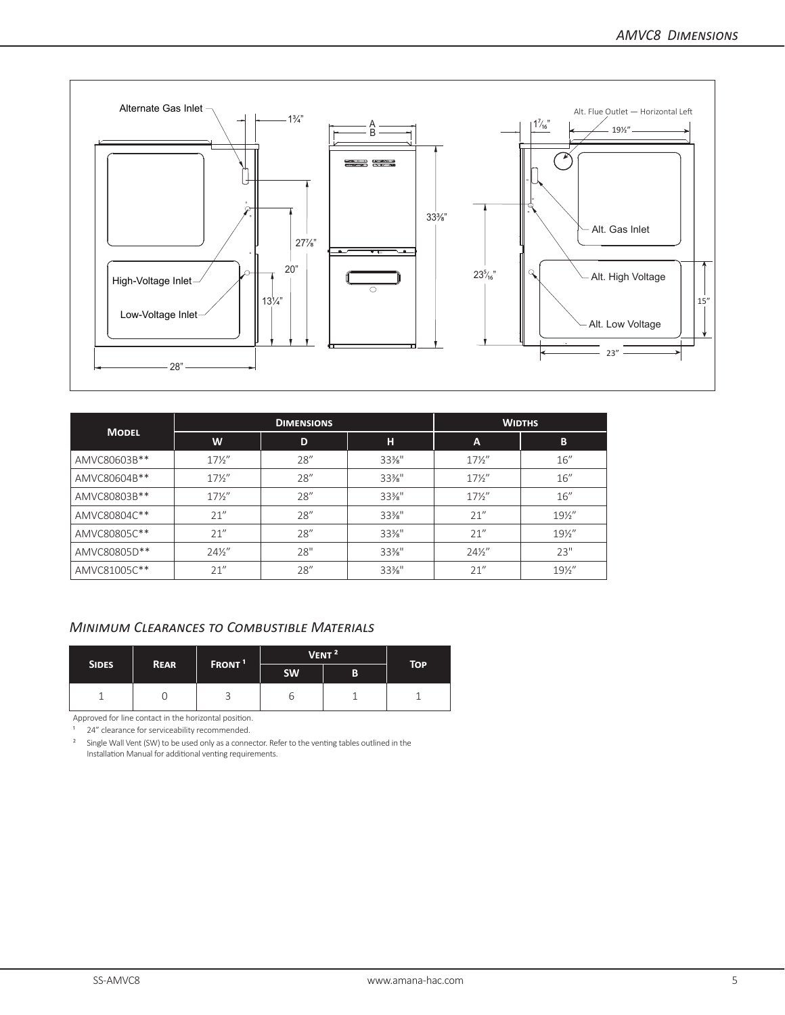

| <b>MODEL</b> |                 | <b>DIMENSIONS</b> |          | <b>WIDTHS</b>   |                 |  |  |
|--------------|-----------------|-------------------|----------|-----------------|-----------------|--|--|
|              | W               | D                 | н        | A               | B               |  |  |
| AMVC80603B** | $17\frac{1}{2}$ | 28''              | $33\%$ " | $17\frac{1}{2}$ | 16''            |  |  |
| AMVC80604B** | $17\frac{1}{2}$ | 28''              | $33\%$ " | $17\frac{1}{2}$ | 16''            |  |  |
| AMVC80803B** | $17\frac{1}{2}$ | 28''              | $33\%$ " | $17\frac{1}{2}$ | 16''            |  |  |
| AMVC80804C** | 21''            | 28''              | $33\%$ " | 21''            | $19\frac{1}{2}$ |  |  |
| AMVC80805C** | 21''            | 28''              | $33\%$ " | 21''            | $19\frac{1}{2}$ |  |  |
| AMVC80805D** | $24\frac{1}{2}$ | 28"               | $33\%$ " | $24\frac{1}{2}$ | 23"             |  |  |
| AMVC81005C** | 21''            | 28''              | $33\%$ " | 21''            | $19\frac{1}{2}$ |  |  |

## *Minimum Clearances to Combustible Materials*

|              |             | FRONT <sup>1</sup> | VENT <sup>2</sup> | <b>TOP</b> |  |
|--------------|-------------|--------------------|-------------------|------------|--|
| <b>SIDES</b> | <b>REAR</b> |                    | <b>SW</b>         | B          |  |
|              |             |                    | O                 |            |  |

Approved for line contact in the horizontal position.

24" clearance for serviceability recommended.

<sup>2</sup> Single Wall Vent (SW) to be used only as a connector. Refer to the venting tables outlined in the Installation Manual for additional venting requirements.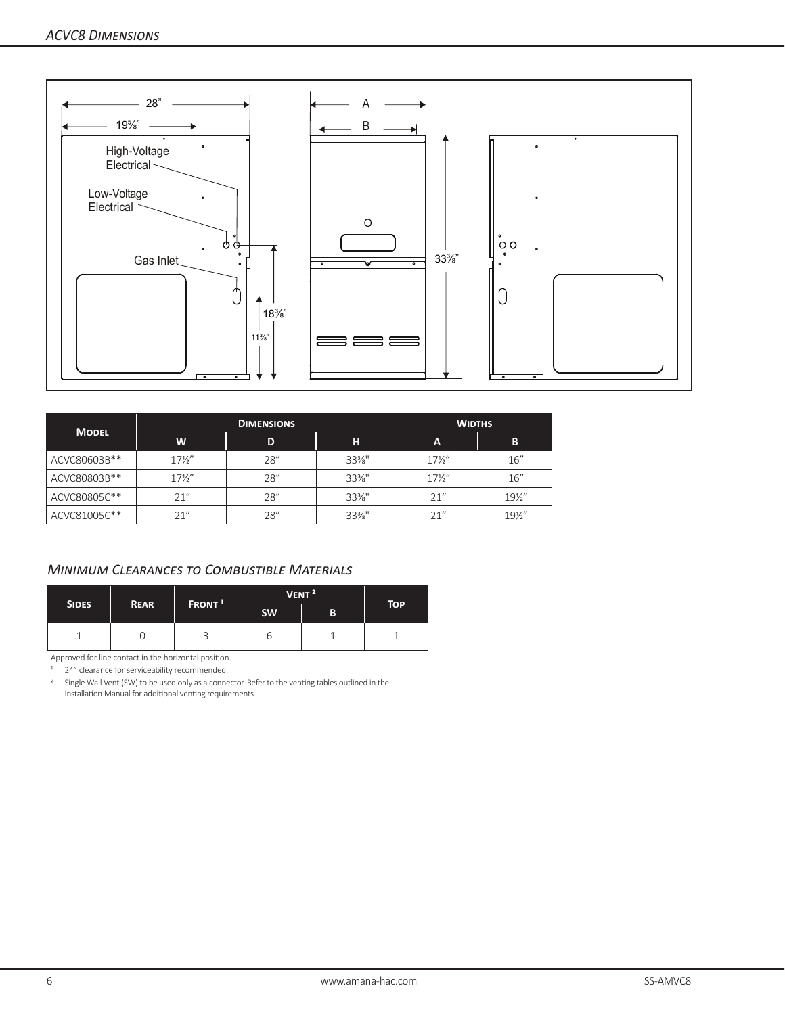

|              |                 | <b>DIMENSIONS</b> | <b>WIDTHS</b> |                 |                 |
|--------------|-----------------|-------------------|---------------|-----------------|-----------------|
| <b>MODEL</b> | W               | D                 | н             | A               | B               |
| ACVC80603B** | $17\frac{1}{2}$ | 28''              | $33\%$ "      | $17\frac{1}{2}$ | 16''            |
| ACVC80803B** | $17\frac{1}{2}$ | 28''              | $33\%$ "      | $17\frac{1}{2}$ | 16''            |
| ACVC80805C** | 21''            | 28''              | $33\%$ "      | 21''            | $19\frac{1}{2}$ |
| ACVC81005C** | 21''            | 28"               | $33\%$ "      | 21''            | $19\frac{1}{2}$ |

## *Minimum Clearances to Combustible Materials*

|              |             | FRONT <sup>1</sup> |           | VENT <sup>2</sup> | <b>TOP</b> |
|--------------|-------------|--------------------|-----------|-------------------|------------|
| <b>SIDES</b> | <b>REAR</b> |                    | <b>SW</b> | B                 |            |
|              |             |                    |           |                   |            |

Approved for line contact in the horizontal position.

<sup>1</sup> 24" clearance for serviceability recommended.

<sup>2</sup> Single Wall Vent (SW) to be used only as a connector. Refer to the venting tables outlined in the Installation Manual for additional venting requirements.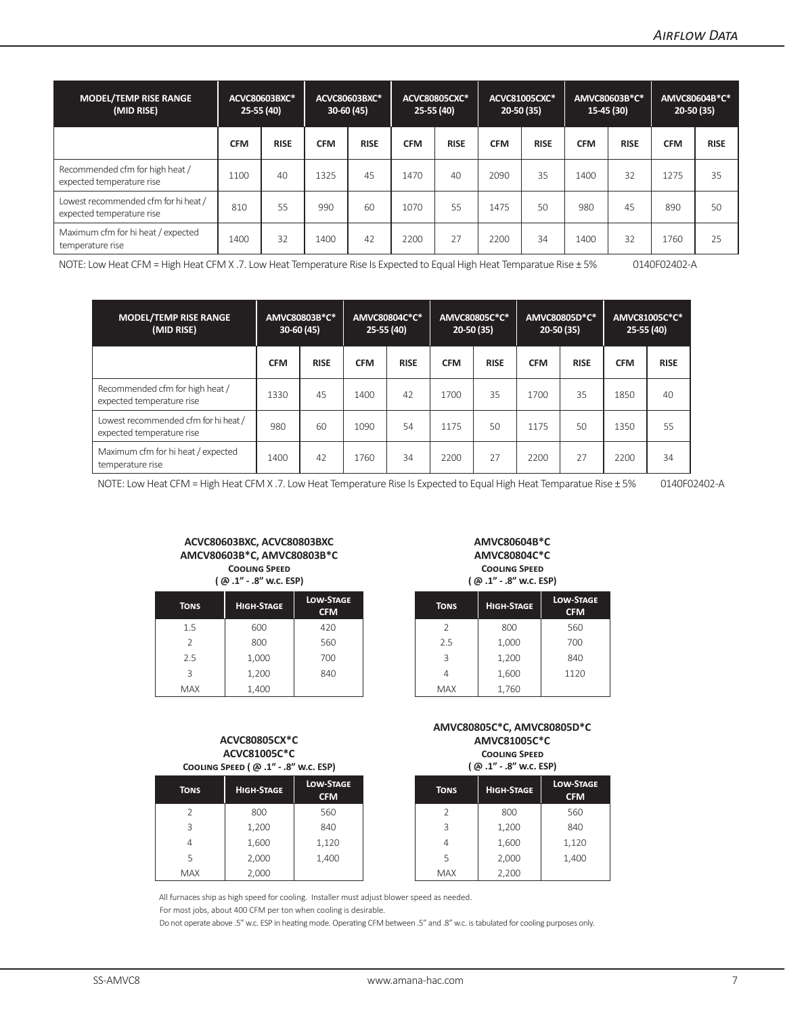| <b>MODEL/TEMP RISE RANGE</b><br>(MID RISE)                        | $25-55(40)$ | ACVC80603BXC* | $30-60(45)$ | ACVC80603BXC* |            | <b>ACVC80805CXC*</b><br>$25-55(40)$ |            | ACVC81005CXC*<br>20-50 (35) | $15-45(30)$ | AMVC80603B*C* | $20-50(35)$ | AMVC80604B*C* |
|-------------------------------------------------------------------|-------------|---------------|-------------|---------------|------------|-------------------------------------|------------|-----------------------------|-------------|---------------|-------------|---------------|
|                                                                   | <b>CFM</b>  | <b>RISE</b>   | <b>CFM</b>  | <b>RISE</b>   | <b>CFM</b> | <b>RISE</b>                         | <b>CFM</b> | <b>RISE</b>                 | <b>CFM</b>  | <b>RISE</b>   | <b>CFM</b>  | <b>RISE</b>   |
| Recommended cfm for high heat /<br>expected temperature rise      | 1100        | 40            | 1325        | 45            | 1470       | 40                                  | 2090       | 35                          | 1400        | 32            | 1275        | 35            |
| Lowest recommended cfm for hi heat /<br>expected temperature rise | 810         | 55            | 990         | 60            | 1070       | 55                                  | 1475       | 50                          | 980         | 45            | 890         | 50            |
| Maximum cfm for hi heat / expected<br>temperature rise            | 1400        | 32            | 1400        | 42            | 2200       | 27                                  | 2200       | 34                          | 1400        | 32            | 1760        | 25            |

NOTE: Low Heat CFM = High Heat CFM X .7. Low Heat Temperature Rise Is Expected to Equal High Heat Temparatue Rise ± 5% 0140F02402-A

| <b>MODEL/TEMP RISE RANGE</b><br>(MID RISE)                        | AMVC80803B*C*<br>$30-60(45)$ |             | AMVC80804C*C*<br>$25-55(40)$ |             | AMVC80805C*C*<br>$20-50(35)$ |             | AMVC80805D*C*<br>$20 - 50(35)$ |             | AMVC81005C*C*<br>$25-55(40)$ |             |
|-------------------------------------------------------------------|------------------------------|-------------|------------------------------|-------------|------------------------------|-------------|--------------------------------|-------------|------------------------------|-------------|
|                                                                   | <b>CFM</b>                   | <b>RISE</b> | <b>CFM</b>                   | <b>RISE</b> | <b>CFM</b>                   | <b>RISE</b> | <b>CFM</b>                     | <b>RISE</b> | <b>CFM</b>                   | <b>RISE</b> |
| Recommended cfm for high heat /<br>expected temperature rise      | 1330                         | 45          | 1400                         | 42          | 1700                         | 35          | 1700                           | 35          | 1850                         | 40          |
| Lowest recommended cfm for hi heat /<br>expected temperature rise | 980                          | 60          | 1090                         | 54          | 1175                         | 50          | 1175                           | 50          | 1350                         | 55          |
| Maximum cfm for hi heat / expected<br>temperature rise            | 1400                         | 42          | 1760                         | 34          | 2200                         | 27          | 2200                           | 27          | 2200                         | 34          |

NOTE: Low Heat CFM = High Heat CFM X .7. Low Heat Temperature Rise Is Expected to Equal High Heat Temparatue Rise ± 5% 0140F02402-A

#### **ACVC80603BXC, ACVC80803BXC AMCV80603B\*C, AMVC80803B\*C Cooling Speed**

| (@.1" - .8" w.c. ESP) |                   |                                |  |  |  |  |  |  |
|-----------------------|-------------------|--------------------------------|--|--|--|--|--|--|
| <b>TONS</b>           | <b>HIGH-STAGE</b> | <b>LOW-STAGE</b><br><b>CFM</b> |  |  |  |  |  |  |
| 1.5                   | 600               | 420                            |  |  |  |  |  |  |
| $\mathcal{P}$         | 800               | 560                            |  |  |  |  |  |  |
| 2.5                   | 1,000             | 700                            |  |  |  |  |  |  |
| ς                     | 1 200             | 840                            |  |  |  |  |  |  |

**AMVC80604B\*C AMVC80804C\*C Cooling Speed ( @ .1" - .8" w.c. ESP)**

| TONS                     | <b>HIGH-STAGE</b> | <b>LOW-STAGE</b><br><b>CFM</b> | <b>TONS</b> | <b>HIGH-STAGE</b> | <b>LOW-STAGE</b><br><b>CFM</b> |
|--------------------------|-------------------|--------------------------------|-------------|-------------------|--------------------------------|
| 1.5                      | 600               | 420                            | 2           | 800               | 560                            |
| $\overline{\phantom{a}}$ | 800               | 560                            | 2.5         | 1,000             | 700                            |
| 2.5                      | 1,000             | 700                            | 3           | 1,200             | 840                            |
| 3                        | 1,200             | 840                            | 4           | 1,600             | 1120                           |
| <b>MAX</b>               | 1,400             |                                | <b>MAX</b>  | 1,760             |                                |

#### **ACVC80805CX\*C ACVC81005C\*C Cooling Speed ( @ .1" - .8" w.c. ESP)**

| <b>TONS</b>    | <b>HIGH-STAGE</b> | <b>LOW-STAGE</b><br><b>CFM</b> | <b>TONS</b> | <b>HIGH-STAGE</b> |
|----------------|-------------------|--------------------------------|-------------|-------------------|
| 2              | 800               | 560                            |             | 800               |
| 3              | 1,200             | 840                            | 3           | 1,200             |
| $\overline{4}$ | 1,600             | 1,120                          | 4           | 1,600             |
| 5              | 2,000             | 1,400                          | 5           | 2,000             |
| <b>MAX</b>     | 2,000             |                                | <b>MAX</b>  | 2,200             |

#### **AMVC80805C\*C, AMVC80805D\*C AMVC81005C\*C Cooling Speed**

| ESP)                         | (@ .1" - .8" w.c. ESP) |                   |                                |
|------------------------------|------------------------|-------------------|--------------------------------|
| <b>N-STAGE</b><br><b>CFM</b> | <b>TONS</b>            | <b>HIGH-STAGE</b> | <b>LOW-STAGE</b><br><b>CFM</b> |
| 560                          | $\mathcal{P}$          | 800               | 560                            |
| 840                          | 3                      | 1,200             | 840                            |
| L,120                        | 4                      | 1,600             | 1,120                          |
| L,400                        | 5                      | 2,000             | 1,400                          |
|                              | <b>MAX</b>             | 2,200             |                                |
|                              |                        |                   |                                |

All furnaces ship as high speed for cooling. Installer must adjust blower speed as needed.

For most jobs, about 400 CFM per ton when cooling is desirable.

Do not operate above .5" w.c. ESP in heating mode. Operating CFM between .5" and .8" w.c. is tabulated for cooling purposes only.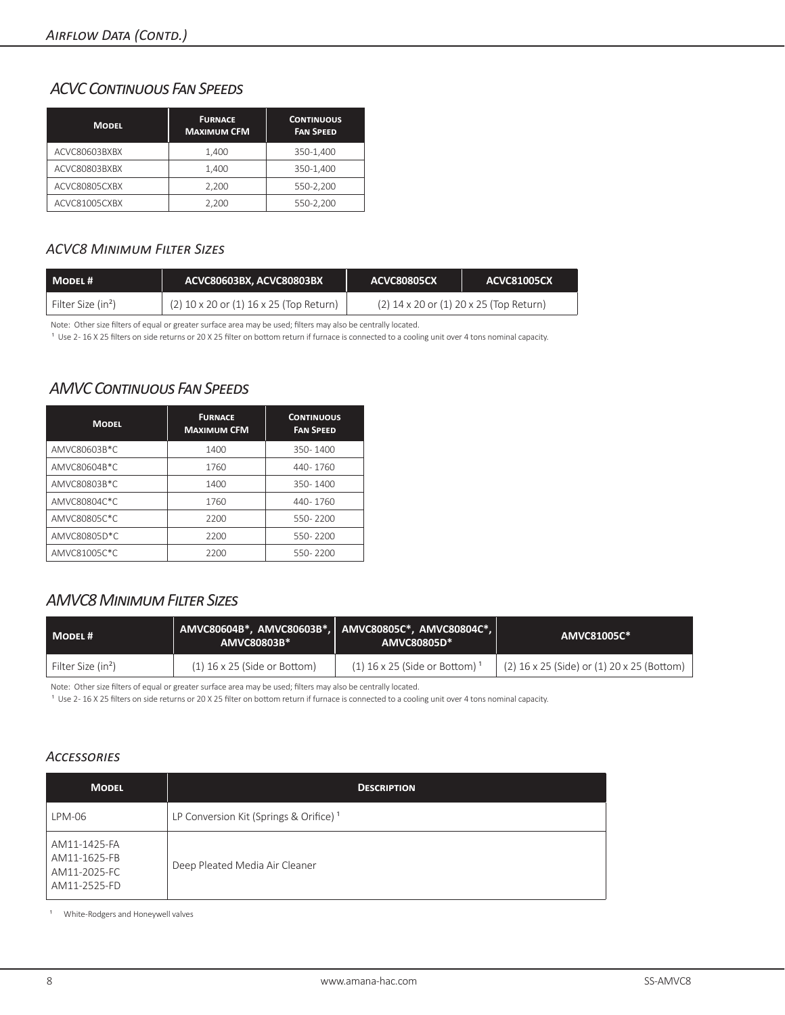## *ACVC Continuous Fan Speeds*

| <b>MODEL</b>  | <b>FURNACE</b><br><b>MAXIMUM CFM</b> | <b>CONTINUOUS</b><br><b>FAN SPEED</b> |
|---------------|--------------------------------------|---------------------------------------|
| ACVC80603BXBX | 1,400                                | 350-1,400                             |
| ACVC80803BXBX | 1.400                                | 350-1.400                             |
| ACVC80805CXBX | 2.200                                | 550-2,200                             |
| ACVC81005CXBX | 2,200                                | 550-2,200                             |

## *ACVC8 Minimum Filter Sizes*

| MODEL#                         | ACVC80603BX, ACVC80803BX                | <b>ACVC80805CX</b> | <b>ACVC81005CX</b>                          |
|--------------------------------|-----------------------------------------|--------------------|---------------------------------------------|
| Filter Size (in <sup>2</sup> ) | (2) 10 x 20 or (1) 16 x 25 (Top Return) |                    | $(2)$ 14 x 20 or $(1)$ 20 x 25 (Top Return) |

Note: Other size filters of equal or greater surface area may be used; filters may also be centrally located.

<sup>1</sup> Use 2-16 X 25 filters on side returns or 20 X 25 filter on bottom return if furnace is connected to a cooling unit over 4 tons nominal capacity.

## *AMVC Continuous Fan Speeds*

| <b>MODEL</b> | <b>FURNACE</b><br><b>MAXIMUM CFM</b> | <b>CONTINUOUS</b><br><b>FAN SPEED</b> |
|--------------|--------------------------------------|---------------------------------------|
| AMVC80603B*C | 1400                                 | 350-1400                              |
| AMVC80604B*C | 1760                                 | 440-1760                              |
| AMVC80803B*C | 1400                                 | 350-1400                              |
| AMVC80804C*C | 1760                                 | 440-1760                              |
| AMVC80805C*C | 2200                                 | 550-2200                              |
| AMVC80805D*C | 2200                                 | 550-2200                              |
| AMVC81005C*C | 2200                                 | 550-2200                              |

## *AMVC8 Minimum Filter Sizes*

| MODEL#                         | AMVC80604B*, AMVC80603B*, AMVC80805C*, AMVC80804C*,<br>AMVC80803B* | AMVC80805D*                    | AMVC81005C*                                |
|--------------------------------|--------------------------------------------------------------------|--------------------------------|--------------------------------------------|
| Filter Size (in <sup>2</sup> ) | $(1)$ 16 x 25 (Side or Bottom)                                     | $(1)$ 16 x 25 (Side or Bottom) | (2) 16 x 25 (Side) or (1) 20 x 25 (Bottom) |

Note: Other size filters of equal or greater surface area may be used; filters may also be centrally located.

<sup>1</sup> Use 2-16 X 25 filters on side returns or 20 X 25 filter on bottom return if furnace is connected to a cooling unit over 4 tons nominal capacity.

## *Accessories*

| <b>MODEL</b>                                                 | <b>DESCRIPTION</b>                                 |
|--------------------------------------------------------------|----------------------------------------------------|
| LPM-06                                                       | LP Conversion Kit (Springs & Orifice) <sup>1</sup> |
| AM11-1425-FA<br>AM11-1625-FB<br>AM11-2025-FC<br>AM11-2525-FD | Deep Pleated Media Air Cleaner                     |

<sup>1</sup> White-Rodgers and Honeywell valves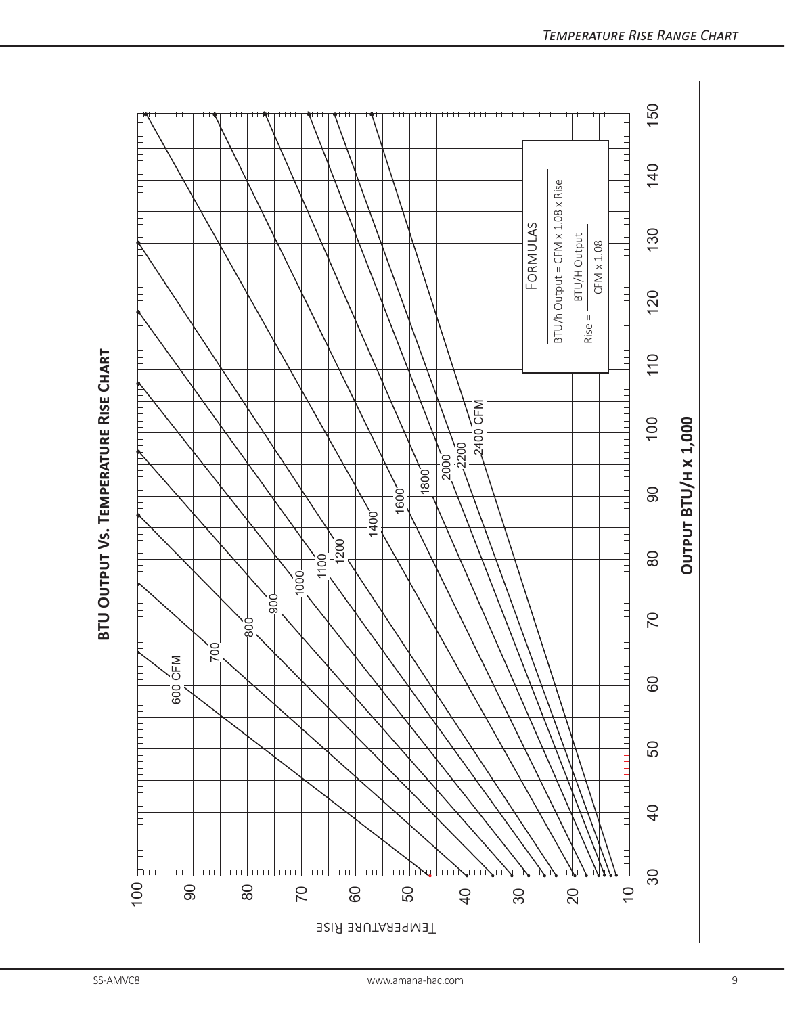